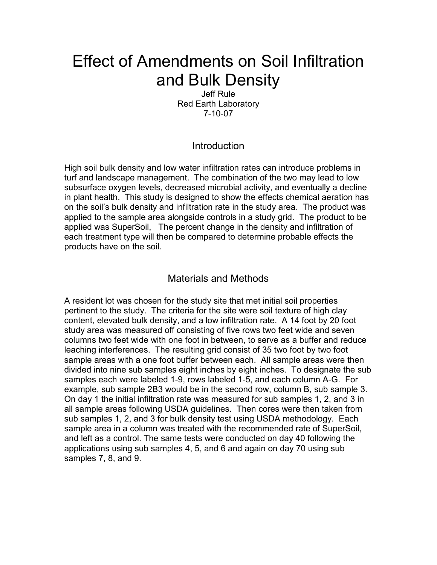# Effect of Amendments on Soil Infiltration and Bulk Density

Jeff Rule Red Earth Laboratory 7-10-07

## **Introduction**

High soil bulk density and low water infiltration rates can introduce problems in turf and landscape management. The combination of the two may lead to low subsurface oxygen levels, decreased microbial activity, and eventually a decline in plant health. This study is designed to show the effects chemical aeration has on the soil's bulk density and infiltration rate in the study area. The product was applied to the sample area alongside controls in a study grid. The product to be applied was SuperSoil, The percent change in the density and infiltration of each treatment type will then be compared to determine probable effects the products have on the soil.

#### Materials and Methods

A resident lot was chosen for the study site that met initial soil properties pertinent to the study. The criteria for the site were soil texture of high clay content, elevated bulk density, and a low infiltration rate. A 14 foot by 20 foot study area was measured off consisting of five rows two feet wide and seven columns two feet wide with one foot in between, to serve as a buffer and reduce leaching interferences. The resulting grid consist of 35 two foot by two foot sample areas with a one foot buffer between each. All sample areas were then divided into nine sub samples eight inches by eight inches. To designate the sub samples each were labeled 1-9, rows labeled 1-5, and each column A-G. For example, sub sample 2B3 would be in the second row, column B, sub sample 3. On day 1 the initial infiltration rate was measured for sub samples 1, 2, and 3 in all sample areas following USDA guidelines. Then cores were then taken from sub samples 1, 2, and 3 for bulk density test using USDA methodology. Each sample area in a column was treated with the recommended rate of SuperSoil, and left as a control. The same tests were conducted on day 40 following the applications using sub samples 4, 5, and 6 and again on day 70 using sub samples 7, 8, and 9.